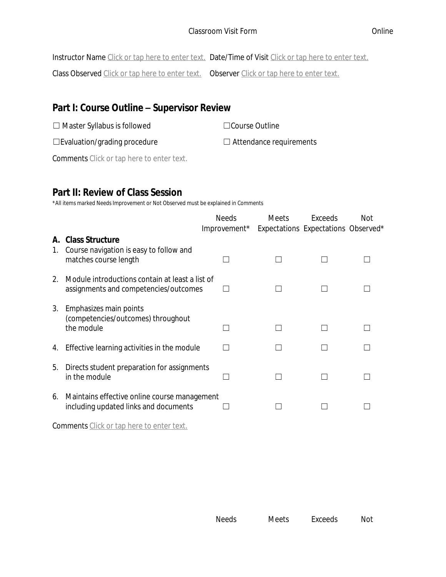Instructor Name Click or tap here to enter text. Date/Time of Visit Click or tap here to enter text.

Class Observed Click or tap here to enter text. Observer Click or tap here to enter text.

### **Part I: Course Outline – Supervisor Review**

| $\Box$ Master Syllabus is followed     | $\Box$ Course Outline          |
|----------------------------------------|--------------------------------|
| $\square$ Evaluation/grading procedure | $\Box$ Attendance requirements |

Comments Click or tap here to enter text.

#### **Part II: Review of Class Session**

\*All items marked Needs Improvement or Not Observed must be explained in Comments

|                                                                            | <b>Needs</b>                            | <b>Meets</b>                                                                                                                                                                            | Exceeds      | Not                                 |
|----------------------------------------------------------------------------|-----------------------------------------|-----------------------------------------------------------------------------------------------------------------------------------------------------------------------------------------|--------------|-------------------------------------|
| <b>Class Structure</b><br>А.                                               |                                         |                                                                                                                                                                                         |              |                                     |
| matches course length                                                      |                                         |                                                                                                                                                                                         |              |                                     |
|                                                                            |                                         |                                                                                                                                                                                         |              |                                     |
| Emphasizes main points<br>(competencies/outcomes) throughout<br>the module |                                         |                                                                                                                                                                                         |              |                                     |
| Effective learning activities in the module                                |                                         |                                                                                                                                                                                         |              |                                     |
| in the module                                                              |                                         |                                                                                                                                                                                         |              |                                     |
| including updated links and documents                                      |                                         |                                                                                                                                                                                         |              |                                     |
|                                                                            | Course navigation is easy to follow and | Module introductions contain at least a list of<br>assignments and competencies/outcomes<br>Directs student preparation for assignments<br>Maintains effective online course management | Improvement* | Expectations Expectations Observed* |

Comments Click or tap here to enter text.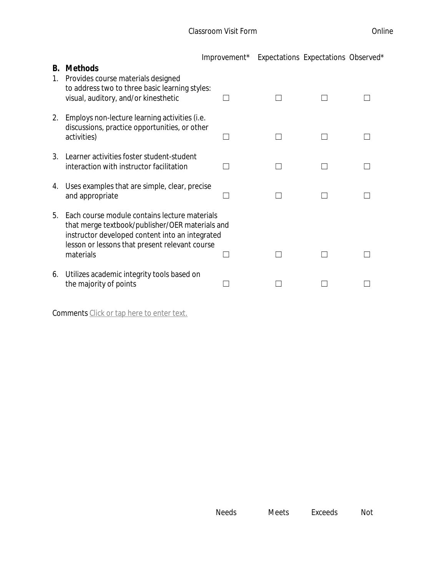|          |                                                                                                                                                                                                                    | Improvement* Expectations Expectations Observed* |  |  |
|----------|--------------------------------------------------------------------------------------------------------------------------------------------------------------------------------------------------------------------|--------------------------------------------------|--|--|
| В.<br>1. | <b>Methods</b><br>Provides course materials designed<br>to address two to three basic learning styles:<br>visual, auditory, and/or kinesthetic                                                                     |                                                  |  |  |
| 2.       | Employs non-lecture learning activities (i.e.<br>discussions, practice opportunities, or other<br>activities)                                                                                                      |                                                  |  |  |
| $3_{-}$  | Learner activities foster student-student<br>interaction with instructor facilitation                                                                                                                              |                                                  |  |  |
| 4.       | Uses examples that are simple, clear, precise<br>and appropriate                                                                                                                                                   |                                                  |  |  |
| 5.       | Each course module contains lecture materials<br>that merge textbook/publisher/OER materials and<br>instructor developed content into an integrated<br>lesson or lessons that present relevant course<br>materials |                                                  |  |  |
| 6.       | Utilizes academic integrity tools based on<br>the majority of points                                                                                                                                               |                                                  |  |  |

Comments Click or tap here to enter text.

| <b>Needs</b> | Meets | Exceeds | Not |
|--------------|-------|---------|-----|
|--------------|-------|---------|-----|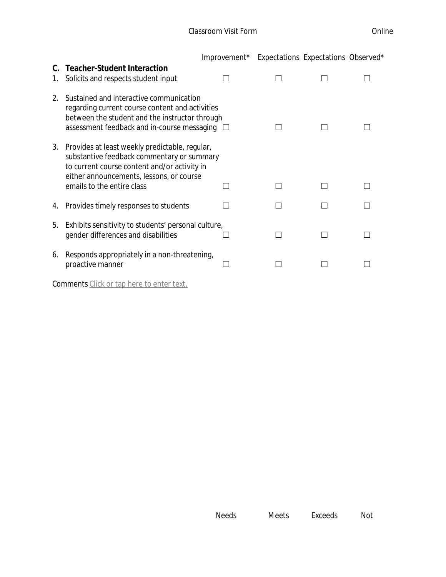|          |                                                                                                                                                                                                                        | Improvement* Expectations Expectations Observed* |  |  |
|----------|------------------------------------------------------------------------------------------------------------------------------------------------------------------------------------------------------------------------|--------------------------------------------------|--|--|
| C.<br>1. | <b>Teacher-Student Interaction</b><br>Solicits and respects student input                                                                                                                                              |                                                  |  |  |
| 2.       | Sustained and interactive communication<br>regarding current course content and activities<br>between the student and the instructor through<br>assessment feedback and in-course messaging                            |                                                  |  |  |
| 3.       | Provides at least weekly predictable, regular,<br>substantive feedback commentary or summary<br>to current course content and/or activity in<br>either announcements, lessons, or course<br>emails to the entire class |                                                  |  |  |
| 4.       | Provides timely responses to students                                                                                                                                                                                  |                                                  |  |  |
| 5.       | Exhibits sensitivity to students' personal culture,<br>gender differences and disabilities                                                                                                                             |                                                  |  |  |
| 6.       | Responds appropriately in a non-threatening,<br>proactive manner                                                                                                                                                       |                                                  |  |  |
|          | Comments Click or tap here to enter text.                                                                                                                                                                              |                                                  |  |  |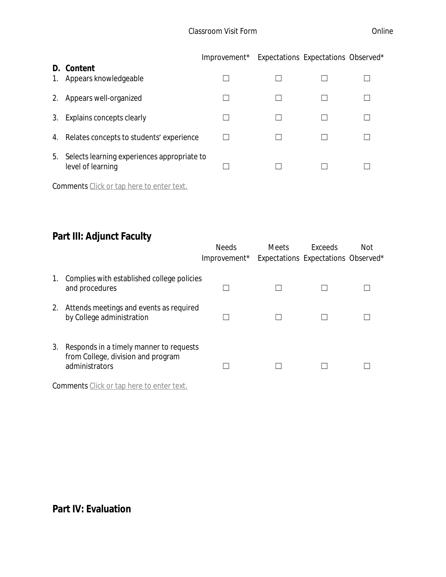|    |                                                                  | Improvement* Expectations Expectations Observed* |  |  |
|----|------------------------------------------------------------------|--------------------------------------------------|--|--|
| 1. | D. Content<br>Appears knowledgeable                              |                                                  |  |  |
| 2. | Appears well-organized                                           |                                                  |  |  |
| 3. | Explains concepts clearly                                        |                                                  |  |  |
| 4. | Relates concepts to students' experience                         |                                                  |  |  |
| 5. | Selects learning experiences appropriate to<br>level of learning |                                                  |  |  |

Comments Click or tap here to enter text.

# **Part III: Adjunct Faculty**

|             |                                                                                                 | <b>Needs</b><br>Improvement* Expectations Expectations Observed* | <b>Meets</b> | <b>Exceeds</b> | Not |
|-------------|-------------------------------------------------------------------------------------------------|------------------------------------------------------------------|--------------|----------------|-----|
| $1_{\cdot}$ | Complies with established college policies<br>and procedures                                    |                                                                  |              |                |     |
| 2.          | Attends meetings and events as required<br>by College administration                            |                                                                  |              |                |     |
| 3.          | Responds in a timely manner to requests<br>from College, division and program<br>administrators |                                                                  |              |                |     |

Comments Click or tap here to enter text.

# **Part IV: Evaluation**